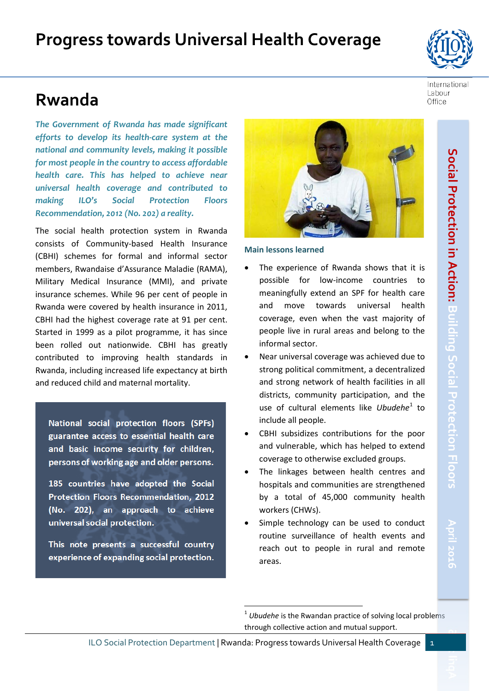# **Rwanda**

*The Government of Rwanda has made significant efforts to develop its health-care system at the national and community levels, making it possible for most people in the country to access affordable health care. This has helped to achieve near universal health coverage and contributed to making ILO's Social Protection Floors Recommendation, 2012 (No. 202) a reality.*

The social health protection system in Rwanda consists of Community-based Health Insurance (CBHI) schemes for formal and informal sector members, Rwandaise d'Assurance Maladie (RAMA), Military Medical Insurance (MMI), and private insurance schemes. While 96 per cent of people in Rwanda were covered by health insurance in 2011, CBHI had the highest coverage rate at 91 per cent. Started in 1999 as a pilot programme, it has since been rolled out nationwide. CBHI has greatly contributed to improving health standards in Rwanda, including increased life expectancy at birth and reduced child and maternal mortality.

National social protection floors (SPFs) guarantee access to essential health care and basic income security for children, persons of working age and older persons.

185 countries have adopted the Social Protection Floors Recommendation, 2012 (No. 202), an approach to achieve universal social protection.

<span id="page-0-0"></span>This note presents a successful country experience of expanding social protection.

1

**Main lessons learned**

- The experience of Rwanda shows that it is possible for low-income countries to meaningfully extend an SPF for health care and move towards universal health coverage, even when the vast majority of people live in rural areas and belong to the informal sector.
- Near universal coverage was achieved due to strong political commitment, a decentralized and strong network of health facilities in all districts, community participation, and the use of cultural elements like *Ubudehe*<sup>[1](#page-0-0)</sup> to include all people.
- CBHI subsidizes contributions for the poor and vulnerable, which has helped to extend coverage to otherwise excluded groups.
- The linkages between health centres and hospitals and communities are strengthened by a total of 45,000 community health workers (CHWs).
- Simple technology can be used to conduct routine surveillance of health events and reach out to people in rural and remote areas.

Labour Office



ILO Social Protection Department | Rwanda: Progress towards Universal Health Coverage 1

<sup>1</sup> *Ubudehe* is the Rwandan practice of solving local problems through collective action and mutual support.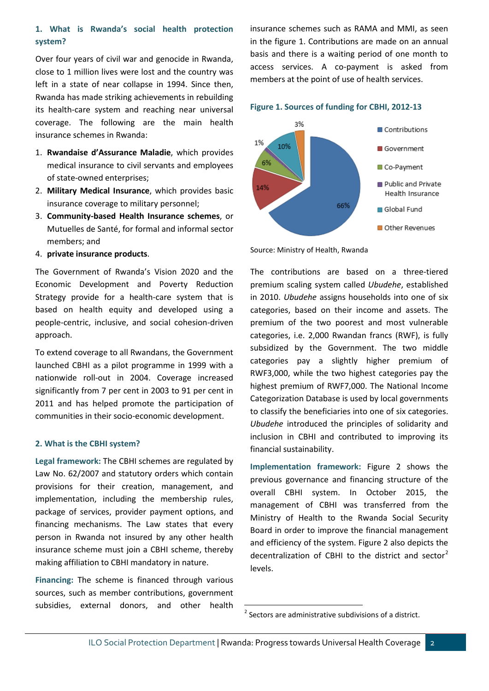### **1. What is Rwanda's social health protection system?**

Over four years of civil war and genocide in Rwanda, close to 1 million lives were lost and the country was left in a state of near collapse in 1994. Since then, Rwanda has made striking achievements in rebuilding its health-care system and reaching near universal coverage. The following are the main health insurance schemes in Rwanda:

- 1. **Rwandaise d'Assurance Maladie**, which provides medical insurance to civil servants and employees of state-owned enterprises;
- 2. **Military Medical Insurance**, which provides basic insurance coverage to military personnel;
- 3. **Community-based Health Insurance schemes**, or Mutuelles de Santé, for formal and informal sector members; and
- 4. **private insurance products**.

The Government of Rwanda's Vision 2020 and the Economic Development and Poverty Reduction Strategy provide for a health-care system that is based on health equity and developed using a people-centric, inclusive, and social cohesion-driven approach.

To extend coverage to all Rwandans, the Government launched CBHI as a pilot programme in 1999 with a nationwide roll-out in 2004. Coverage increased significantly from 7 per cent in 2003 to 91 per cent in 2011 and has helped promote the participation of communities in their socio-economic development.

#### **2. What is the CBHI system?**

**Legal framework:** The CBHI schemes are regulated by Law No. 62/2007 and statutory orders which contain provisions for their creation, management, and implementation, including the membership rules, package of services, provider payment options, and financing mechanisms. The Law states that every person in Rwanda not insured by any other health insurance scheme must join a CBHI scheme, thereby making affiliation to CBHI mandatory in nature.

<span id="page-1-0"></span>**Financing:** The scheme is financed through various sources, such as member contributions, government subsidies, external donors, and other health insurance schemes such as RAMA and MMI, as seen in the figure 1. Contributions are made on an annual basis and there is a waiting period of one month to access services. A co-payment is asked from members at the point of use of health services.





Source: Ministry of Health, Rwanda

The contributions are based on a three-tiered premium scaling system called *Ubudehe*, established in 2010. *Ubudehe* assigns households into one of six categories, based on their income and assets. The premium of the two poorest and most vulnerable categories, i.e. 2,000 Rwandan francs (RWF), is fully subsidized by the Government. The two middle categories pay a slightly higher premium of RWF3,000, while the two highest categories pay the highest premium of RWF7,000. The National Income Categorization Database is used by local governments to classify the beneficiaries into one of six categories. *Ubudehe* introduced the principles of solidarity and inclusion in CBHI and contributed to improving its financial sustainability.

**Implementation framework:** Figure 2 shows the previous governance and financing structure of the overall CBHI system. In October 2015, the management of CBHI was transferred from the Ministry of Health to the Rwanda Social Security Board in order to improve the financial management and efficiency of the system. Figure 2 also depicts the decentralization of CBHI to the district and sector<sup>[2](#page-1-0)</sup> levels.

 $\overline{a}$ 

 $2$  Sectors are administrative subdivisions of a district.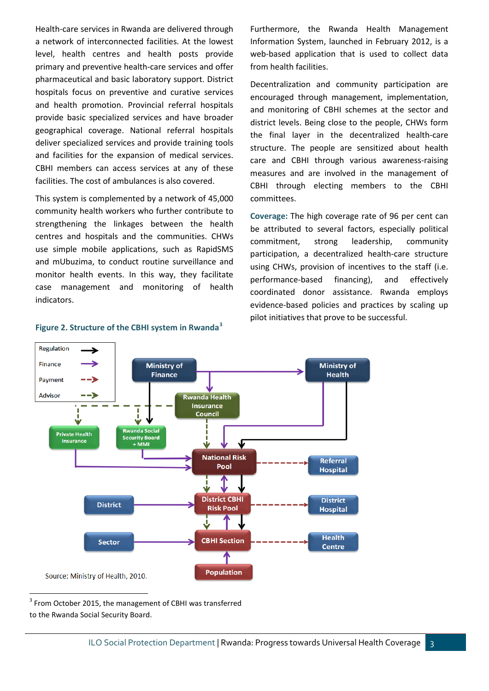Health-care services in Rwanda are delivered through a network of interconnected facilities. At the lowest level, health centres and health posts provide primary and preventive health-care services and offer pharmaceutical and basic laboratory support. District hospitals focus on preventive and curative services and health promotion. Provincial referral hospitals provide basic specialized services and have broader geographical coverage. National referral hospitals deliver specialized services and provide training tools and facilities for the expansion of medical services. CBHI members can access services at any of these facilities. The cost of ambulances is also covered.

This system is complemented by a network of 45,000 community health workers who further contribute to strengthening the linkages between the health centres and hospitals and the communities. CHWs use simple mobile applications, such as RapidSMS and mUbuzima, to conduct routine surveillance and monitor health events. In this way, they facilitate case management and monitoring of health indicators.

## Furthermore, the Rwanda Health Management Information System, launched in February 2012, is a web-based application that is used to collect data from health facilities.

Decentralization and community participation are encouraged through management, implementation, and monitoring of CBHI schemes at the sector and district levels. Being close to the people, CHWs form the final layer in the decentralized health-care structure. The people are sensitized about health care and CBHI through various awareness-raising measures and are involved in the management of CBHI through electing members to the CBHI committees.

**Coverage:** The high coverage rate of 96 per cent can be attributed to several factors, especially political commitment, strong leadership, community participation, a decentralized health-care structure using CHWs, provision of incentives to the staff (i.e. performance-based financing), and effectively coordinated donor assistance. Rwanda employs evidence-based policies and practices by scaling up pilot initiatives that prove to be successful.



### **Figure 2. Structure of the CBHI system in Rwanda[3](#page-2-0)**

<span id="page-2-0"></span><sup>3</sup> From October 2015, the management of CBHI was transferred to the Rwanda Social Security Board.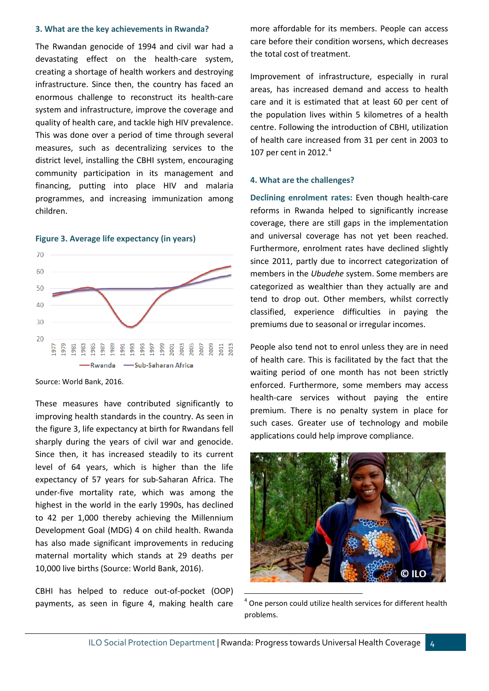#### **3. What are the key achievements in Rwanda?**

The Rwandan genocide of 1994 and civil war had a devastating effect on the health-care system, creating a shortage of health workers and destroying infrastructure. Since then, the country has faced an enormous challenge to reconstruct its health-care system and infrastructure, improve the coverage and quality of health care, and tackle high HIV prevalence. This was done over a period of time through several measures, such as decentralizing services to the district level, installing the CBHI system, encouraging community participation in its management and financing, putting into place HIV and malaria programmes, and increasing immunization among children.



**Figure 3. Average life expectancy (in years)**

Source: World Bank, 2016.

These measures have contributed significantly to improving health standards in the country. As seen in the figure 3, life expectancy at birth for Rwandans fell sharply during the years of civil war and genocide. Since then, it has increased steadily to its current level of 64 years, which is higher than the life expectancy of 57 years for sub-Saharan Africa. The under-five mortality rate, which was among the highest in the world in the early 1990s, has declined to 42 per 1,000 thereby achieving the Millennium Development Goal (MDG) 4 on child health. Rwanda has also made significant improvements in reducing maternal mortality which stands at 29 deaths per 10,000 live births (Source: World Bank, 2016).

<span id="page-3-0"></span>CBHI has helped to reduce out-of-pocket (OOP) payments, as seen in figure 4, making health care more affordable for its members. People can access care before their condition worsens, which decreases the total cost of treatment.

Improvement of infrastructure, especially in rural areas, has increased demand and access to health care and it is estimated that at least 60 per cent of the population lives within 5 kilometres of a health centre. Following the introduction of CBHI, utilization of health care increased from 31 per cent in 2003 to 107 per cent in 2012. $4$ 

#### **4. What are the challenges?**

**Declining enrolment rates:** Even though health-care reforms in Rwanda helped to significantly increase coverage, there are still gaps in the implementation and universal coverage has not yet been reached. Furthermore, enrolment rates have declined slightly since 2011, partly due to incorrect categorization of members in the *Ubudehe* system. Some members are categorized as wealthier than they actually are and tend to drop out. Other members, whilst correctly classified, experience difficulties in paying the premiums due to seasonal or irregular incomes.

People also tend not to enrol unless they are in need of health care. This is facilitated by the fact that the waiting period of one month has not been strictly enforced. Furthermore, some members may access health-care services without paying the entire premium. There is no penalty system in place for such cases. Greater use of technology and mobile applications could help improve compliance.



 $4$  One person could utilize health services for different health problems.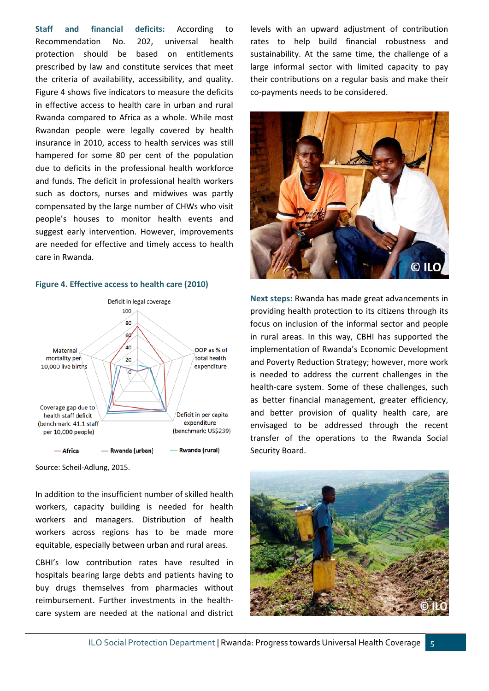**Staff and financial deficits:** According to Recommendation No. 202, universal health protection should be based on entitlements prescribed by law and constitute services that meet the criteria of availability, accessibility, and quality. Figure 4 shows five indicators to measure the deficits in effective access to health care in urban and rural Rwanda compared to Africa as a whole. While most Rwandan people were legally covered by health insurance in 2010, access to health services was still hampered for some 80 per cent of the population due to deficits in the professional health workforce and funds. The deficit in professional health workers such as doctors, nurses and midwives was partly compensated by the large number of CHWs who visit people's houses to monitor health events and suggest early intervention. However, improvements are needed for effective and timely access to health care in Rwanda.

#### **Figure 4. Effective access to health care (2010)**



Source: Scheil-Adlung, 2015.

In addition to the insufficient number of skilled health workers, capacity building is needed for health workers and managers. Distribution of health workers across regions has to be made more equitable, especially between urban and rural areas.

CBHI's low contribution rates have resulted in hospitals bearing large debts and patients having to buy drugs themselves from pharmacies without reimbursement. Further investments in the healthcare system are needed at the national and district levels with an upward adjustment of contribution rates to help build financial robustness and sustainability. At the same time, the challenge of a large informal sector with limited capacity to pay their contributions on a regular basis and make their co-payments needs to be considered.



**Next steps:** Rwanda has made great advancements in providing health protection to its citizens through its focus on inclusion of the informal sector and people in rural areas. In this way, CBHI has supported the implementation of Rwanda's Economic Development and Poverty Reduction Strategy; however, more work is needed to address the current challenges in the health-care system. Some of these challenges, such as better financial management, greater efficiency, and better provision of quality health care, are envisaged to be addressed through the recent transfer of the operations to the Rwanda Social Security Board.